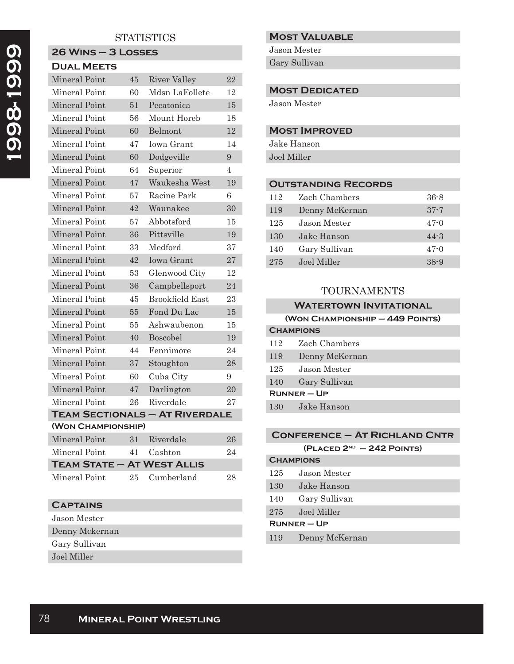### **STATISTICS**

# **26 Wins – 3 Losses Dual Meets** Mineral Point 45 River Valley 22 Mineral Point 60 Mdsn LaFollete 12 Mineral Point 51 Pecatonica 15 Mineral Point 56 Mount Horeb 18 Mineral Point 60 Belmont 12 Mineral Point 47 Iowa Grant 14 Mineral Point 60 Dodgeville 9 Mineral Point 64 Superior 4<br>Mineral Point 47 Waylooke West 14  $\frac{17}{47}$  Weukesha West 10

| мпнегат гопп                      | 41 | waukesiia west                        | ΙJ |
|-----------------------------------|----|---------------------------------------|----|
| Mineral Point                     | 57 | Racine Park                           | 6  |
| Mineral Point                     | 42 | Waunakee                              | 30 |
| Mineral Point                     | 57 | Abbotsford                            | 15 |
| Mineral Point                     | 36 | Pittsville                            | 19 |
| Mineral Point                     | 33 | Medford                               | 37 |
| Mineral Point                     | 42 | <b>Iowa Grant</b>                     | 27 |
| Mineral Point                     | 53 | Glenwood City                         | 12 |
| Mineral Point                     | 36 | Campbellsport                         | 24 |
| Mineral Point                     | 45 | Brookfield East                       | 23 |
| Mineral Point                     | 55 | Fond Du Lac                           | 15 |
| Mineral Point                     | 55 | Ashwaubenon                           | 15 |
| Mineral Point                     | 40 | Boscobel                              | 19 |
| Mineral Point                     | 44 | Fennimore                             | 24 |
| Mineral Point                     | 37 | Stoughton                             | 28 |
| Mineral Point                     | 60 | Cuba City                             | 9  |
| Mineral Point                     | 47 | Darlington                            | 20 |
| Mineral Point                     | 26 | Riverdale                             | 27 |
|                                   |    | <b>TEAM SECTIONALS - AT RIVERDALE</b> |    |
| (WON CHAMPIONSHIP)                |    |                                       |    |
| Mineral Point                     | 31 | Riverdale                             | 26 |
| Mineral Point                     | 41 | Cashton                               | 24 |
| <b>TEAM STATE - AT WEST ALLIS</b> |    |                                       |    |

Mineral Point 25 Cumberland 28

### **Captains**

- Jason Mester Denny Mckernan Gary Sullivan
- Joel Miller

### **Most Valuable**

Jason Mester

Gary Sullivan

#### **MOST DEDICATED**

Jason Mester

#### **Most Improved**

Jake Hanson Joel Miller

### **Outstanding Records**

| 112 | Zach Chambers  | $36 - 8$ |
|-----|----------------|----------|
| 119 | Denny McKernan | $37 - 7$ |
| 125 | Jason Mester   | $47-0$   |
| 130 | Jake Hanson    | $44 - 3$ |
| 140 | Gary Sullivan  | $47 - 0$ |
| 275 | Joel Miller    | $38 - 9$ |

### TOURNAMENTS

#### **Watertown Invitational**

#### **(Won Championship – 449 Points)**

| <b>CHAMPIONS</b> |  |  |
|------------------|--|--|
| Zach Chambers    |  |  |
| Denny McKernan   |  |  |
| Jason Mester     |  |  |
| Gary Sullivan    |  |  |
| $RUNNER - UP$    |  |  |
| Jake Hanson      |  |  |
|                  |  |  |

### **Conference – At Richland Cntr**

| $(PLACED 2ND - 242$ POINTS) |  |  |
|-----------------------------|--|--|
|-----------------------------|--|--|

| <b>CHAMPIONS</b> |                |  |
|------------------|----------------|--|
| 125              | Jason Mester   |  |
| 130              | Jake Hanson    |  |
| 140              | Gary Sullivan  |  |
| 275              | Joel Miller    |  |
| $RUNNER - UP$    |                |  |
| 119              | Denny McKernan |  |